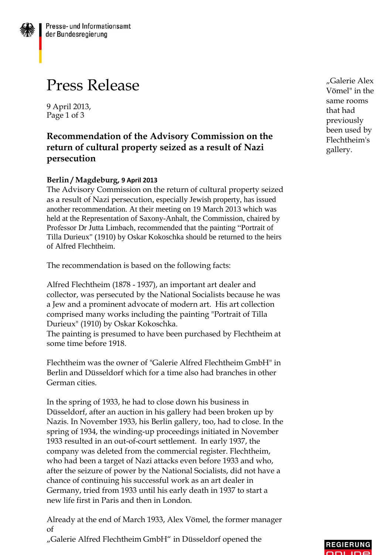## Press Release

9 April 2013, Page 1 of 3

## **Recommendation of the Advisory Commission on the return of cultural property seized as a result of Nazi persecution**

## **Berlin / Magdeburg, 9 April 2013**

The Advisory Commission on the return of cultural property seized as a result of Nazi persecution, especially Jewish property, has issued another recommendation. At their meeting on 19 March 2013 which was held at the Representation of Saxony-Anhalt, the Commission, chaired by Professor Dr Jutta Limbach, recommended that the painting "Portrait of Tilla Durieux" (1910) by Oskar Kokoschka should be returned to the heirs of Alfred Flechtheim.

The recommendation is based on the following facts:

Alfred Flechtheim (1878 - 1937), an important art dealer and collector, was persecuted by the National Socialists because he was a Jew and a prominent advocate of modern art. His art collection comprised many works including the painting "Portrait of Tilla Durieux" (1910) by Oskar Kokoschka.

The painting is presumed to have been purchased by Flechtheim at some time before 1918.

Flechtheim was the owner of "Galerie Alfred Flechtheim GmbH" in Berlin and Düsseldorf which for a time also had branches in other German cities.

In the spring of 1933, he had to close down his business in Düsseldorf, after an auction in his gallery had been broken up by Nazis. In November 1933, his Berlin gallery, too, had to close. In the spring of 1934, the winding-up proceedings initiated in November 1933 resulted in an out-of-court settlement. In early 1937, the company was deleted from the commercial register. Flechtheim, who had been a target of Nazi attacks even before 1933 and who, after the seizure of power by the National Socialists, did not have a chance of continuing his successful work as an art dealer in Germany, tried from 1933 until his early death in 1937 to start a new life first in Paris and then in London.

Already at the end of March 1933, Alex Vömel, the former manager of "Galerie Alfred Flechtheim GmbH" in Düsseldorf opened the

"Galerie Alex Vömel" in the same rooms that had previously been used by Flechtheim's gallery.

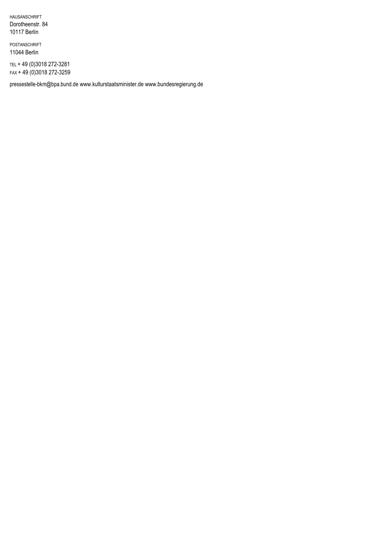HAUSANSCHRIFT Dorotheenstr. 84 10117 Berlin

POSTANSCHRIFT 11044 Berlin

TEL + 49 (0)3018 272-3281 FAX + 49 (0)3018 272-3259

[pressestelle-bkm@bpa.bund.de](mailto:pressestelle-bkm@bpa.bund.de) [www.kulturstaatsminister.de](http://www.kulturstaatsminister.de/) [www.bundesregierung.de](http://www.bundesregierung.de/)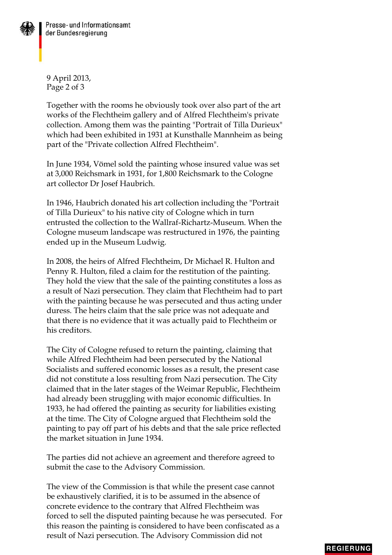

9 April 2013, Page 2 of 3

Together with the rooms he obviously took over also part of the art works of the Flechtheim gallery and of Alfred Flechtheim's private collection. Among them was the painting "Portrait of Tilla Durieux" which had been exhibited in 1931 at Kunsthalle Mannheim as being part of the "Private collection Alfred Flechtheim".

In June 1934, Vömel sold the painting whose insured value was set at 3,000 Reichsmark in 1931, for 1,800 Reichsmark to the Cologne art collector Dr Josef Haubrich.

In 1946, Haubrich donated his art collection including the "Portrait of Tilla Durieux" to his native city of Cologne which in turn entrusted the collection to the Wallraf-Richartz-Museum. When the Cologne museum landscape was restructured in 1976, the painting ended up in the Museum Ludwig.

In 2008, the heirs of Alfred Flechtheim, Dr Michael R. Hulton and Penny R. Hulton, filed a claim for the restitution of the painting. They hold the view that the sale of the painting constitutes a loss as a result of Nazi persecution. They claim that Flechtheim had to part with the painting because he was persecuted and thus acting under duress. The heirs claim that the sale price was not adequate and that there is no evidence that it was actually paid to Flechtheim or his creditors.

The City of Cologne refused to return the painting, claiming that while Alfred Flechtheim had been persecuted by the National Socialists and suffered economic losses as a result, the present case did not constitute a loss resulting from Nazi persecution. The City claimed that in the later stages of the Weimar Republic, Flechtheim had already been struggling with major economic difficulties. In 1933, he had offered the painting as security for liabilities existing at the time. The City of Cologne argued that Flechtheim sold the painting to pay off part of his debts and that the sale price reflected the market situation in June 1934.

The parties did not achieve an agreement and therefore agreed to submit the case to the Advisory Commission.

The view of the Commission is that while the present case cannot be exhaustively clarified, it is to be assumed in the absence of concrete evidence to the contrary that Alfred Flechtheim was forced to sell the disputed painting because he was persecuted. For this reason the painting is considered to have been confiscated as a result of Nazi persecution. The Advisory Commission did not

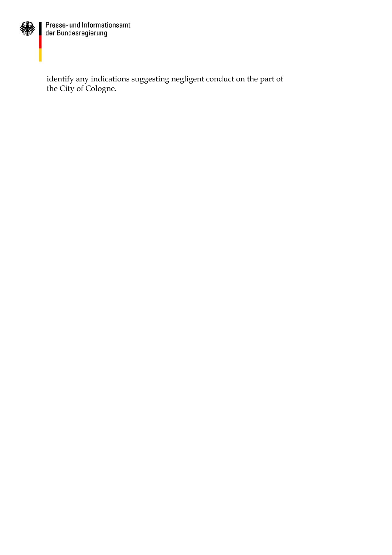

Presse- und Informationsamt<br>der Bundesregierung

identify any indications suggesting negligent conduct on the part of the City of Cologne.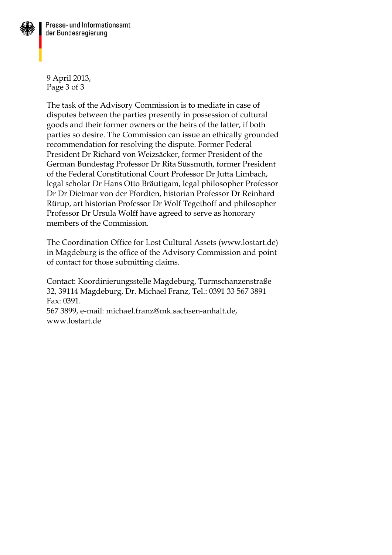

9 April 2013, Page 3 of 3

The task of the Advisory Commission is to mediate in case of disputes between the parties presently in possession of cultural goods and their former owners or the heirs of the latter, if both parties so desire. The Commission can issue an ethically grounded recommendation for resolving the dispute. Former Federal President Dr Richard von Weizsäcker, former President of the German Bundestag Professor Dr Rita Süssmuth, former President of the Federal Constitutional Court Professor Dr Jutta Limbach, legal scholar Dr Hans Otto Bräutigam, legal philosopher Professor Dr Dr Dietmar von der Pfordten, historian Professor Dr Reinhard Rürup, art historian Professor Dr Wolf Tegethoff and philosopher Professor Dr Ursula Wolff have agreed to serve as honorary members of the Commission.

The Coordination Office for Lost Cultural Assets (www.lostart.de) in Magdeburg is the office of the Advisory Commission and point of contact for those submitting claims.

Contact: Koordinierungsstelle Magdeburg, Turmschanzenstraße 32, 39114 Magdeburg, Dr. Michael Franz, Tel.: 0391 33 567 3891 Fax: 0391.

[567 3899, e-mail: michael.franz@mk.sachsen-anhalt.de,](mailto:michael.franz@mk.sachsen-anhalt.de) [www.lostart.de](http://www.lostart.de/)